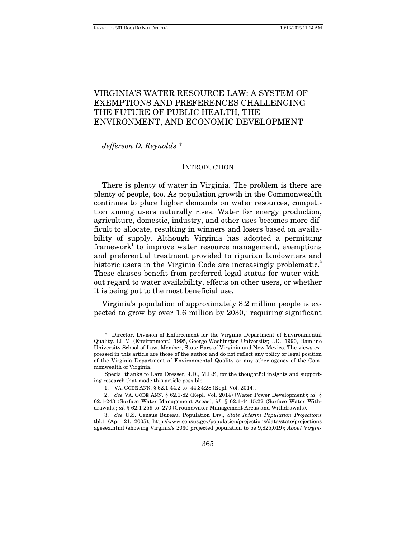# VIRGINIA'S WATER RESOURCE LAW: A SYSTEM OF EXEMPTIONS AND PREFERENCES CHALLENGING THE FUTURE OF PUBLIC HEALTH, THE ENVIRONMENT, AND ECONOMIC DEVELOPMENT

*Jefferson D. Reynolds* \*

#### **INTRODUCTION**

There is plenty of water in Virginia. The problem is there are plenty of people, too. As population growth in the Commonwealth continues to place higher demands on water resources, competition among users naturally rises. Water for energy production, agriculture, domestic, industry, and other uses becomes more difficult to allocate, resulting in winners and losers based on availability of supply. Although Virginia has adopted a permitting framework<sup>1</sup> to improve water resource management, exemptions and preferential treatment provided to riparian landowners and historic users in the Virginia Code are increasingly problematic.<sup>2</sup> These classes benefit from preferred legal status for water without regard to water availability, effects on other users, or whether it is being put to the most beneficial use.

Virginia's population of approximately 8.2 million people is expected to grow by over 1.6 million by  $2030$ , requiring significant

<sup>\*</sup> Director, Division of Enforcement for the Virginia Department of Environmental Quality. LL.M. (Environment), 1995, George Washington University; J.D., 1990, Hamline University School of Law. Member, State Bars of Virginia and New Mexico. The views expressed in this article are those of the author and do not reflect any policy or legal position of the Virginia Department of Environmental Quality or any other agency of the Commonwealth of Virginia.

Special thanks to Lara Dresser, J.D., M.L.S, for the thoughtful insights and supporting research that made this article possible.

 <sup>1.</sup> VA. CODE ANN. § 62.1-44.2 to -44.34:28 (Repl. Vol. 2014).

 <sup>2.</sup> *See* VA. CODE ANN. § 62.1-82 (Repl. Vol. 2014) (Water Power Development); *id.* § 62.1-243 (Surface Water Management Areas); *id.* § 62.1-44.15:22 (Surface Water Withdrawals); *id.* § 62.1-259 to -270 (Groundwater Management Areas and Withdrawals).

 <sup>3.</sup> *See* U.S. Census Bureau, Population Div., *State Interim Population Projections*  tbl.1 (Apr. 21, 2005), http://www.census.gov/population/projections/data/state/projections agesex.html (showing Virginia's 2030 projected population to be 9,825,019); *About Virgin-*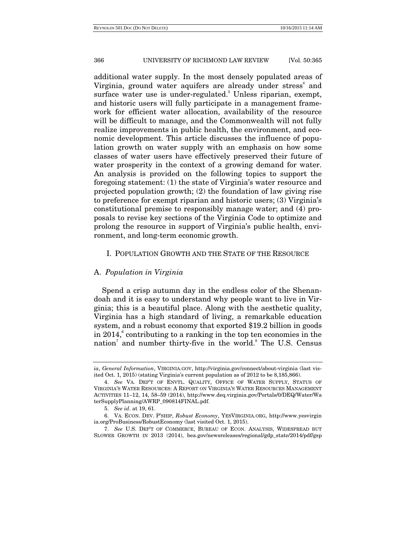additional water supply. In the most densely populated areas of Virginia, ground water aquifers are already under stress<sup>4</sup> and surface water use is under-regulated.<sup>5</sup> Unless riparian, exempt, and historic users will fully participate in a management framework for efficient water allocation, availability of the resource will be difficult to manage, and the Commonwealth will not fully realize improvements in public health, the environment, and economic development. This article discusses the influence of population growth on water supply with an emphasis on how some classes of water users have effectively preserved their future of water prosperity in the context of a growing demand for water. An analysis is provided on the following topics to support the foregoing statement: (1) the state of Virginia's water resource and projected population growth; (2) the foundation of law giving rise to preference for exempt riparian and historic users; (3) Virginia's constitutional premise to responsibly manage water; and (4) proposals to revise key sections of the Virginia Code to optimize and prolong the resource in support of Virginia's public health, environment, and long-term economic growth.

# I. POPULATION GROWTH AND THE STATE OF THE RESOURCE

# A. *Population in Virginia*

Spend a crisp autumn day in the endless color of the Shenandoah and it is easy to understand why people want to live in Virginia; this is a beautiful place. Along with the aesthetic quality, Virginia has a high standard of living, a remarkable education system, and a robust economy that exported \$19.2 billion in goods in 2014, $^6$  contributing to a ranking in the top ten economies in the nation<sup>7</sup> and number thirty-five in the world.<sup>8</sup> The U.S. Census

*ia*, *General Information*, VIRGINIA.GOV, http://virginia.gov/connect/about-virginia (last visited Oct. 1, 2015) (stating Virginia's current population as of 2012 to be 8,185,866).

 <sup>4.</sup> *See* VA. DEP'T OF ENVTL. QUALITY, OFFICE OF WATER SUPPLY, STATUS OF VIRGINIA'S WATER RESOURCES: A REPORT ON VIRGINIA'S WATER RESOURCES MANAGEMENT ACTIVITIES 11–12, 14, 58–59 (2014), http://www.deq.virginia.gov/Portals/0/DEQ/Water/Wa terSupplyPlanning/AWRP\_090814FINAL.pdf.

 <sup>5.</sup> *See id*. at 19, 61.

 <sup>6.</sup> VA. ECON. DEV. P'SHIP, *Robust Economy*, YESVIRGINIA.ORG, http://www.yesvirgin ia.org/ProBusiness/RobustEconomy (last visited Oct. 1, 2015).

 <sup>7.</sup> *See* U.S. DEP'T OF COMMERCE, BUREAU OF ECON. ANALYSIS, WIDESPREAD BUT SLOWER GROWTH IN 2013 (2014), bea.gov/newsreleases/regional/gdp\_state/2014/pdf/gsp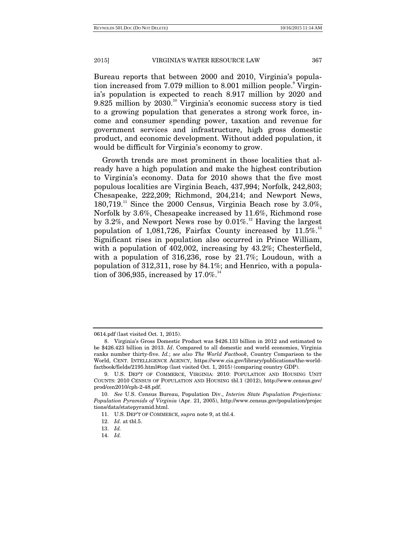Bureau reports that between 2000 and 2010, Virginia's population increased from 7.079 million to 8.001 million people.<sup>9</sup> Virginia's population is expected to reach 8.917 million by 2020 and 9.825 million by  $2030$ .<sup>10</sup> Virginia's economic success story is tied to a growing population that generates a strong work force, income and consumer spending power, taxation and revenue for government services and infrastructure, high gross domestic product, and economic development. Without added population, it would be difficult for Virginia's economy to grow.

Growth trends are most prominent in those localities that already have a high population and make the highest contribution to Virginia's economy. Data for 2010 shows that the five most populous localities are Virginia Beach, 437,994; Norfolk, 242,803; Chesapeake, 222,209; Richmond, 204,214; and Newport News,  $180,719$ <sup>11</sup> Since the 2000 Census, Virginia Beach rose by 3.0%, Norfolk by 3.6%, Chesapeake increased by 11.6%, Richmond rose by 3.2%, and Newport News rose by  $0.01\%$ .<sup>12</sup> Having the largest population of  $1,081,726$ , Fairfax County increased by  $11.5\%$ .<sup>13</sup> Significant rises in population also occurred in Prince William, with a population of 402,002, increasing by 43.2%; Chesterfield, with a population of 316,236, rose by 21.7%; Loudoun, with a population of 312,311, rose by 84.1%; and Henrico, with a population of 306,935, increased by  $17.0\%$ .<sup>14</sup>

14. *Id.*

<sup>0614.</sup>pdf (last visited Oct. 1, 2015).

 <sup>8.</sup> Virginia's Gross Domestic Product was \$426.133 billion in 2012 and estimated to be \$426.423 billion in 2013. *Id*. Compared to all domestic and world economies, Virginia ranks number thirty-five. *Id.*; *see also The World Factbook*, Country Comparison to the World, CENT. INTELLIGENCE AGENCY, https://www.cia.gov/library/publications/the-worldfactbook/fields/2195.html#top (last visited Oct. 1, 2015) (comparing country GDP).

 <sup>9.</sup> U.S. DEP'T OF COMMERCE, VIRGINIA: 2010: POPULATION AND HOUSING UNIT COUNTS: 2010 CENSUS OF POPULATION AND HOUSING tbl.1 (2012), http://www.census.gov/ prod/cen2010/cph-2-48.pdf.

 <sup>10.</sup> *See* U.S. Census Bureau, Population Div., *Interim State Population Projections: Population Pyramids of Virginia* (Apr. 21, 2005), http://www.census.gov/population/projec tions/data/statepyramid.html.

 <sup>11.</sup> U.S. DEP'T OF COMMERCE, *supra* note 9, at tbl.4.

 <sup>12.</sup> *Id*. at tbl.5.

 <sup>13.</sup> *Id.*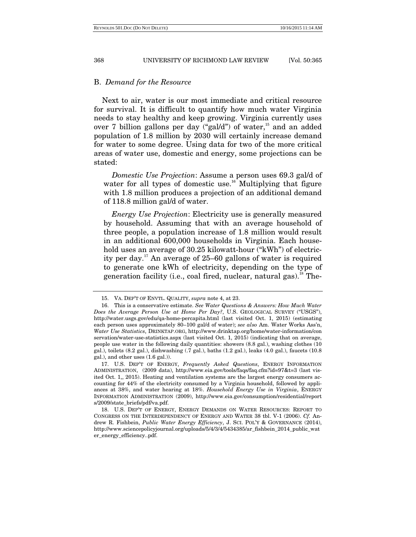## B. *Demand for the Resource*

Next to air, water is our most immediate and critical resource for survival. It is difficult to quantify how much water Virginia needs to stay healthy and keep growing. Virginia currently uses over 7 billion gallons per day ("gal/d") of water, $15$  and an added population of 1.8 million by 2030 will certainly increase demand for water to some degree. Using data for two of the more critical areas of water use, domestic and energy, some projections can be stated:

*Domestic Use Projection*: Assume a person uses 69.3 gal/d of water for all types of domestic use.<sup>16</sup> Multiplying that figure with 1.8 million produces a projection of an additional demand of 118.8 million gal/d of water.

*Energy Use Projection*: Electricity use is generally measured by household. Assuming that with an average household of three people, a population increase of 1.8 million would result in an additional 600,000 households in Virginia. Each household uses an average of 30.25 kilowatt-hour ("kWh") of electricity per day.17 An average of 25–60 gallons of water is required to generate one kWh of electricity, depending on the type of generation facility (i.e., coal fired, nuclear, natural gas).<sup>18</sup> The-

 <sup>15.</sup> VA. DEP'T OF ENVTL. QUALITY, *supra* note 4, at 23.

 <sup>16.</sup> This is a conservative estimate. *See Water Questions & Answers: How Much Water Does the Average Person Use at Home Per Day?*, U.S. GEOLOGICAL SURVEY ("USGS"), http://water.usgs.gov/edu/qa-home-percapita.html (last visited Oct. 1, 2015) (estimating each person uses approximately 80–100 gal/d of water); *see also* Am. Water Works Ass'n, *Water Use Statistics*, DRINKTAP.ORG, http://www.drinktap.org/home/water-information/con servation/water-use-statistics.aspx (last visited Oct. 1, 2015) (indicating that on average, people use water in the following daily quantities: showers (8.8 gal.), washing clothes (10 gal.), toilets (8.2 gal.), dishwashing (.7 gal.), baths (1.2 gal.), leaks (4.0 gal.), faucets (10.8 gal.), and other uses (1.6 gal.)).

 <sup>17.</sup> U.S. DEP'T OF ENERGY, *Frequently Asked Questions*, ENERGY INFORMATION ADMINISTRATION, (2009 data), http://www.eia.gov/tools/faqs/faq.cfm?id=97&t=3 (last visited Oct. 1,, 2015). Heating and ventilation systems are the largest energy consumers accounting for 44% of the electricity consumed by a Virginia household, followed by appliances at 38%, and water hearing at 18%. *Household Energy Use in Virginia*, ENERGY INFORMATION ADMINISTRATION (2009), http://www.eia.gov/consumption/residential/report s/2009/state\_briefs/pdf/va.pdf.

 <sup>18.</sup> U.S. DEP'T OF ENERGY, ENERGY DEMANDS ON WATER RESOURCES: REPORT TO CONGRESS ON THE INTERDEPENDENCY OF ENERGY AND WATER 38 tbl. V-1 (2006). *Cf.* Andrew R. Fishbein, *Public Water Energy Efficiency*, J. SCI. POL'Y & GOVERNANCE (2014), http://www.sciencepolicyjournal.org/uploads/5/4/3/4/5434385/ar\_fishbein\_2014\_public\_wat er\_energy\_efficiency..pdf.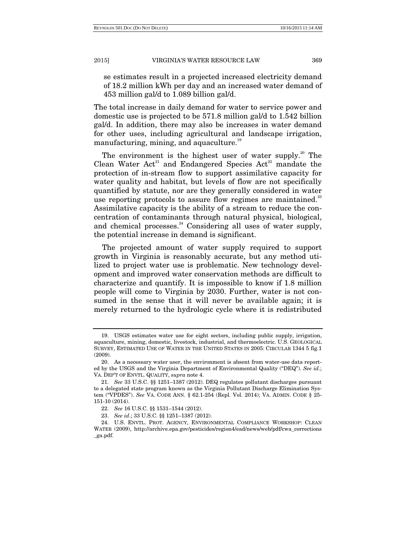se estimates result in a projected increased electricity demand of 18.2 million kWh per day and an increased water demand of 453 million gal/d to 1.089 billion gal/d.

The total increase in daily demand for water to service power and domestic use is projected to be 571.8 million gal/d to 1.542 billion gal/d. In addition, there may also be increases in water demand for other uses, including agricultural and landscape irrigation, manufacturing, mining, and aquaculture.<sup>19</sup>

The environment is the highest user of water supply.<sup>20</sup> The Clean Water Act<sup>21</sup> and Endangered Species Act<sup>22</sup> mandate the protection of in-stream flow to support assimilative capacity for water quality and habitat, but levels of flow are not specifically quantified by statute, nor are they generally considered in water use reporting protocols to assure flow regimes are maintained. $23$ Assimilative capacity is the ability of a stream to reduce the concentration of contaminants through natural physical, biological, and chemical processes.<sup>24</sup> Considering all uses of water supply, the potential increase in demand is significant.

The projected amount of water supply required to support growth in Virginia is reasonably accurate, but any method utilized to project water use is problematic. New technology development and improved water conservation methods are difficult to characterize and quantify. It is impossible to know if 1.8 million people will come to Virginia by 2030. Further, water is not consumed in the sense that it will never be available again; it is merely returned to the hydrologic cycle where it is redistributed

 <sup>19.</sup> USGS estimates water use for eight sectors, including public supply, irrigation, aquaculture, mining, domestic, livestock, industrial, and thermoelectric. U.S. GEOLOGICAL SURVEY, ESTIMATED USE OF WATER IN THE UNITED STATES IN 2005: CIRCULAR 1344 5 fig.1 (2009).

 <sup>20.</sup> As a necessary water user, the environment is absent from water-use data reported by the USGS and the Virginia Department of Environmental Quality ("DEQ"). *See id.*; VA. DEP'T OF ENVTL. QUALITY, *supra* note 4.

 <sup>21.</sup> *See* 33 U.S.C. §§ 1251–1387 (2012). DEQ regulates pollutant discharges pursuant to a delegated state program known as the Virginia Pollutant Discharge Elimination System ("VPDES"). *See* VA. CODE ANN. § 62.1-254 (Repl. Vol. 2014); VA. ADMIN. CODE § 25- 151-10 (2014).

 <sup>22.</sup> *See* 16 U.S.C. §§ 1531–1544 (2012).

 <sup>23.</sup> *See id*.; 33 U.S.C. §§ 1251–1387 (2012).

 <sup>24.</sup> U.S. ENVTL. PROT. AGENCY, ENVIRONMENTAL COMPLIANCE WORKSHOP: CLEAN WATER (2009), http://archive.epa.gov/pesticides/region4/ead/news/web/pdf/cwa\_corrections \_ga.pdf.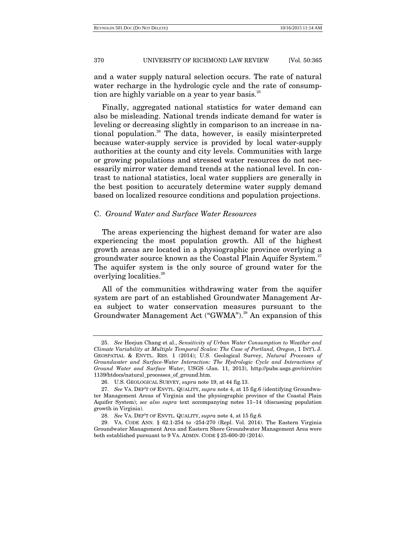and a water supply natural selection occurs. The rate of natural water recharge in the hydrologic cycle and the rate of consumption are highly variable on a year to year basis. $25$ 

Finally, aggregated national statistics for water demand can also be misleading. National trends indicate demand for water is leveling or decreasing slightly in comparison to an increase in national population.26 The data, however, is easily misinterpreted because water-supply service is provided by local water-supply authorities at the county and city levels. Communities with large or growing populations and stressed water resources do not necessarily mirror water demand trends at the national level. In contrast to national statistics, local water suppliers are generally in the best position to accurately determine water supply demand based on localized resource conditions and population projections.

#### C. *Ground Water and Surface Water Resources*

The areas experiencing the highest demand for water are also experiencing the most population growth. All of the highest growth areas are located in a physiographic province overlying a groundwater source known as the Coastal Plain Aquifer System.<sup>27</sup> The aquifer system is the only source of ground water for the overlying localities.<sup>28</sup>

All of the communities withdrawing water from the aquifer system are part of an established Groundwater Management Area subject to water conservation measures pursuant to the Groundwater Management Act ("GWMA").<sup>29</sup> An expansion of this

 <sup>25.</sup> *See* Heejun Chang et al., *Sensitivity of Urban Water Consumption to Weather and Climate Variability at Multiple Temporal Scales: The Case of Portland, Oregon*, 1 INT'L J. GEOSPATIAL & ENVTL. RES. 1 (2014); U.S. Geological Survey, *Natural Processes of Groundwater and Surface-Water Interaction: The Hydrologic Cycle and Interactions of Ground Water and Surface Water*, USGS (Jan. 11, 2013), http://pubs.usgs.gov/circ/circ 1139/htdocs/natural\_processes\_of\_ground.htm.

 <sup>26.</sup> U.S. GEOLOGICAL SURVEY, *supra* note 19, at 44 fig.13.

 <sup>27.</sup> *See* VA. DEP'T OF ENVTL. QUALITY, *supra* note 4, at 15 fig.6 (identifying Groundwater Management Areas of Virginia and the physiographic province of the Coastal Plain Aquifer System); *see also supra* text accompanying notes 11–14 (discussing population growth in Virginia).

 <sup>28.</sup> *See* VA. DEP'T OF ENVTL. QUALITY, *supra* note 4, at 15 fig.6.

 <sup>29.</sup> VA. CODE ANN. § 62.1-254 to -254-270 (Repl. Vol. 2014). The Eastern Virginia Groundwater Management Area and Eastern Shore Groundwater Management Area were both established pursuant to 9 VA. ADMIN. CODE § 25-600-20 (2014).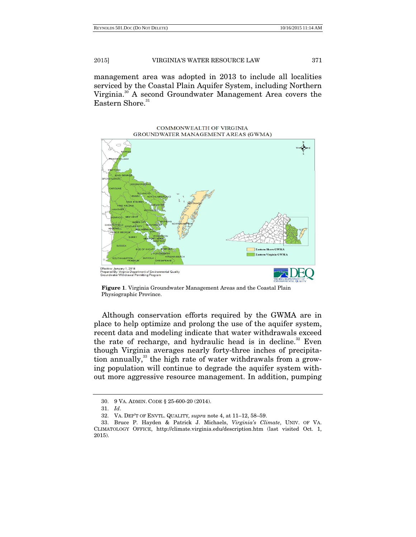management area was adopted in 2013 to include all localities serviced by the Coastal Plain Aquifer System, including Northern Virginia.30 A second Groundwater Management Area covers the Eastern Shore.<sup>31</sup>

> COMMONWEALTH OF VIRGINIA GROUNDWATER MANAGEMENT AREAS (GWMA)



 **Figure 1**. Virginia Groundwater Management Areas and the Coastal Plain Physiographic Province.

Although conservation efforts required by the GWMA are in place to help optimize and prolong the use of the aquifer system, recent data and modeling indicate that water withdrawals exceed the rate of recharge, and hydraulic head is in decline. $32$  Even though Virginia averages nearly forty-three inches of precipitation annually, $33$  the high rate of water withdrawals from a growing population will continue to degrade the aquifer system without more aggressive resource management. In addition, pumping

 <sup>30. 9</sup> VA. ADMIN. CODE § 25-600-20 (2014).

 <sup>31.</sup> *Id*.

 <sup>32.</sup> VA. DEP'T OF ENVTL. QUALITY*, supra* note 4, at 11–12, 58–59.

 <sup>33.</sup> Bruce P. Hayden & Patrick J. Michaels, *Virginia's Climate*, UNIV. OF VA. CLIMATOLOGY OFFICE, http://climate.virginia.edu/description.htm (last visited Oct. 1, 2015).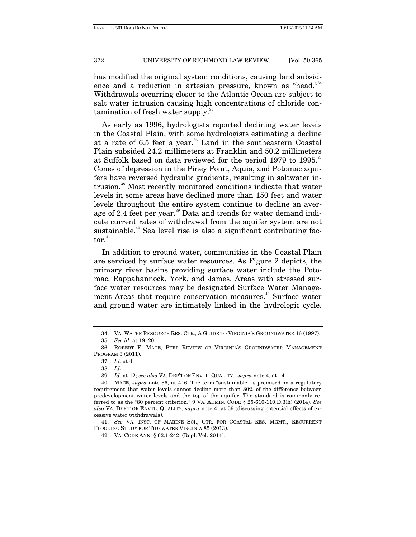has modified the original system conditions, causing land subsidence and a reduction in artesian pressure, known as "head."<sup>34</sup> Withdrawals occurring closer to the Atlantic Ocean are subject to salt water intrusion causing high concentrations of chloride contamination of fresh water supply.<sup>35</sup>

As early as 1996, hydrologists reported declining water levels in the Coastal Plain, with some hydrologists estimating a decline at a rate of 6.5 feet a year.<sup>36</sup> Land in the southeastern Coastal Plain subsided 24.2 millimeters at Franklin and 50.2 millimeters at Suffolk based on data reviewed for the period 1979 to 1995.<sup>37</sup> Cones of depression in the Piney Point, Aquia, and Potomac aquifers have reversed hydraulic gradients, resulting in saltwater intrusion.38 Most recently monitored conditions indicate that water levels in some areas have declined more than 150 feet and water levels throughout the entire system continue to decline an average of 2.4 feet per year.<sup>39</sup> Data and trends for water demand indicate current rates of withdrawal from the aquifer system are not sustainable.<sup>40</sup> Sea level rise is also a significant contributing fac $tor.<sup>41</sup>$ 

In addition to ground water, communities in the Coastal Plain are serviced by surface water resources. As Figure 2 depicts, the primary river basins providing surface water include the Potomac, Rappahannock, York, and James. Areas with stressed surface water resources may be designated Surface Water Management Areas that require conservation measures.<sup>42</sup> Surface water and ground water are intimately linked in the hydrologic cycle.

 41. *See* VA. INST. OF MARINE SCI., CTR. FOR COASTAL RES. MGMT., RECURRENT FLOODING STUDY FOR TIDEWATER VIRGINIA 85 (2013).

42. VA. CODE ANN. § 62.1-242 (Repl. Vol. 2014).

 <sup>34.</sup> VA. WATER RESOURCE RES. CTR., A GUIDE TO VIRGINIA'S GROUNDWATER 16 (1997).

 <sup>35.</sup> *See id*. at 19–20.

 <sup>36.</sup> ROBERT E. MACE, PEER REVIEW OF VIRGINIA'S GROUNDWATER MANAGEMENT PROGRAM 3 (2011).

 <sup>37.</sup> *Id*. at 4.

 <sup>38.</sup> *Id*.

 <sup>39.</sup> *Id*. at 12; *see also* VA. DEP'T OF ENVTL. QUALITY, *supra* note 4, at 14.

 <sup>40.</sup> MACE, *supra* note 36, at 4–6. The term "sustainable" is premised on a regulatory requirement that water levels cannot decline more than 80% of the difference between predevelopment water levels and the top of the aquifer. The standard is commonly referred to as the "80 percent criterion." 9 VA. ADMIN. CODE § 25-610-110.D.3(h) (2014). *See also* VA. DEP'T OF ENVTL. QUALITY, *supra* note 4, at 59 (discussing potential effects of excessive water withdrawals).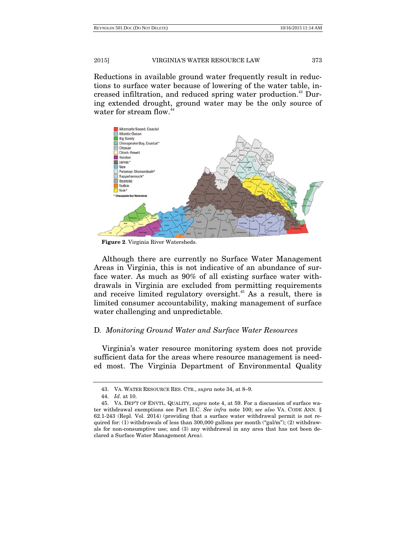Reductions in available ground water frequently result in reductions to surface water because of lowering of the water table, increased infiltration, and reduced spring water production.<sup>43</sup> During extended drought, ground water may be the only source of water for stream flow.<sup>44</sup>



 **Figure 2**. Virginia River Watersheds.

Although there are currently no Surface Water Management Areas in Virginia, this is not indicative of an abundance of surface water. As much as 90% of all existing surface water withdrawals in Virginia are excluded from permitting requirements and receive limited regulatory oversight.<sup> $45$ </sup> As a result, there is limited consumer accountability, making management of surface water challenging and unpredictable.

#### D*. Monitoring Ground Water and Surface Water Resources*

Virginia's water resource monitoring system does not provide sufficient data for the areas where resource management is needed most. The Virginia Department of Environmental Quality

 <sup>43.</sup> VA. WATER RESOURCE RES. CTR., *supra* note 34, at 8–9.

 <sup>44.</sup> *Id*. at 10.

 <sup>45.</sup> VA. DEP'T OF ENVTL. QUALITY, *supra* note 4, at 59. For a discussion of surface water withdrawal exemptions see Part II.C. *See infra* note 100; *see also* VA. CODE ANN. § 62.1-243 (Repl. Vol. 2014) (providing that a surface water withdrawal permit is not required for: (1) withdrawals of less than  $300,000$  gallons per month ("gal/m"); (2) withdrawals for non-consumptive use; and (3) any withdrawal in any area that has not been declared a Surface Water Management Area).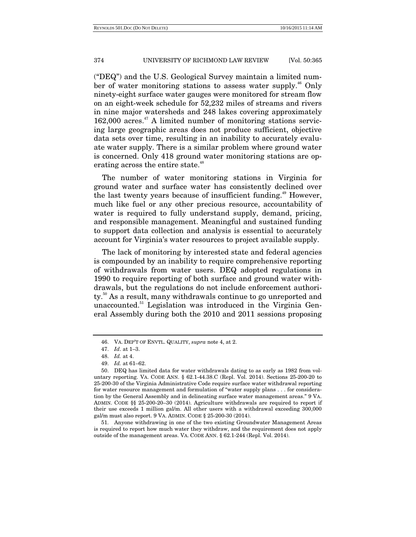("DEQ") and the U.S. Geological Survey maintain a limited number of water monitoring stations to assess water supply.<sup>46</sup> Only ninety-eight surface water gauges were monitored for stream flow on an eight-week schedule for 52,232 miles of streams and rivers in nine major watersheds and 248 lakes covering approximately  $162,000$  acres.<sup>47</sup> A limited number of monitoring stations servicing large geographic areas does not produce sufficient, objective data sets over time, resulting in an inability to accurately evaluate water supply. There is a similar problem where ground water is concerned. Only 418 ground water monitoring stations are operating across the entire state.<sup>48</sup>

The number of water monitoring stations in Virginia for ground water and surface water has consistently declined over the last twenty years because of insufficient funding.<sup>49</sup> However, much like fuel or any other precious resource, accountability of water is required to fully understand supply, demand, pricing, and responsible management. Meaningful and sustained funding to support data collection and analysis is essential to accurately account for Virginia's water resources to project available supply.

The lack of monitoring by interested state and federal agencies is compounded by an inability to require comprehensive reporting of withdrawals from water users. DEQ adopted regulations in 1990 to require reporting of both surface and ground water withdrawals, but the regulations do not include enforcement authority.50 As a result, many withdrawals continue to go unreported and unaccounted.<sup>51</sup> Legislation was introduced in the Virginia General Assembly during both the 2010 and 2011 sessions proposing

 51. Anyone withdrawing in one of the two existing Groundwater Management Areas is required to report how much water they withdraw, and the requirement does not apply outside of the management areas. VA. CODE ANN. § 62.1-244 (Repl. Vol. 2014).

 <sup>46.</sup> VA. DEP'T OF ENVTL. QUALITY, *supra* note 4, at 2.

 <sup>47.</sup> *Id*. at 1–3.

 <sup>48.</sup> *Id.* at 4.

 <sup>49.</sup> *Id.* at 61–62.

 <sup>50.</sup> DEQ has limited data for water withdrawals dating to as early as 1982 from voluntary reporting. VA. CODE ANN. § 62.1-44.38.C (Repl. Vol. 2014). Sections 25-200-20 to 25-200-30 of the Virginia Administrative Code require surface water withdrawal reporting for water resource management and formulation of "water supply plans . . . for consideration by the General Assembly and in delineating surface water management areas." 9 VA. ADMIN. CODE §§ 25-200-20–30 (2014). Agriculture withdrawals are required to report if their use exceeds 1 million gal/m. All other users with a withdrawal exceeding 300,000 gal/m must also report. 9 VA. ADMIN. CODE § 25-200-30 (2014).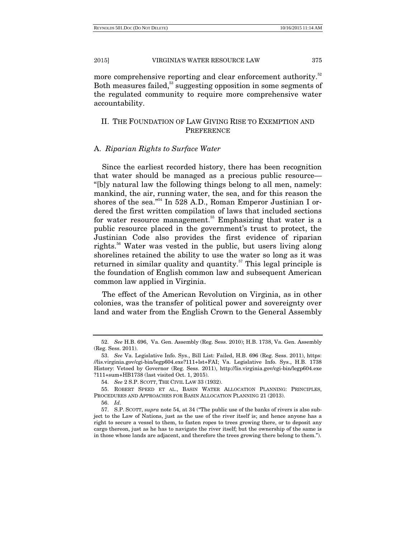more comprehensive reporting and clear enforcement authority.<sup>52</sup> Both measures failed,<sup>53</sup> suggesting opposition in some segments of the regulated community to require more comprehensive water accountability.

# II. THE FOUNDATION OF LAW GIVING RISE TO EXEMPTION AND **PREFERENCE**

#### A. *Riparian Rights to Surface Water*

Since the earliest recorded history, there has been recognition that water should be managed as a precious public resource— "[b]y natural law the following things belong to all men, namely: mankind, the air, running water, the sea, and for this reason the shores of the sea."<sup>54</sup> In 528 A.D., Roman Emperor Justinian I ordered the first written compilation of laws that included sections for water resource management.<sup>55</sup> Emphasizing that water is a public resource placed in the government's trust to protect, the Justinian Code also provides the first evidence of riparian rights.<sup>56</sup> Water was vested in the public, but users living along shorelines retained the ability to use the water so long as it was returned in similar quality and quantity.<sup>57</sup> This legal principle is the foundation of English common law and subsequent American common law applied in Virginia.

The effect of the American Revolution on Virginia, as in other colonies, was the transfer of political power and sovereignty over land and water from the English Crown to the General Assembly

 <sup>52.</sup> *See* H.B. 696, Va. Gen. Assembly (Reg. Sess. 2010); H.B. 1738, Va. Gen. Assembly (Reg. Sess. 2011).

 <sup>53.</sup> *See* Va. Legislative Info. Sys., Bill List: Failed, H.B. 696 (Reg. Sess. 2011), https: //lis.virginia.gov/cgi-bin/legp604.exe?111+lst+FAI; Va. Legislative Info. Sys., H.B. 1738 History: Vetoed by Governor (Reg. Sess. 2011), http://lis.virginia.gov/cgi-bin/legp604.exe ?111+sum+HB1738 (last visited Oct. 1, 2015).

 <sup>54.</sup> *See* 2 S.P. SCOTT, THE CIVIL LAW 33 (1932).

 <sup>55.</sup> ROBERT SPEED ET AL., BASIN WATER ALLOCATION PLANNING: PRINCIPLES, PROCEDURES AND APPROACHES FOR BASIN ALLOCATION PLANNING 21 (2013).

 <sup>56.</sup> *Id*.

 <sup>57.</sup> S.P. SCOTT, *supra* note 54, at 34 ("The public use of the banks of rivers is also subject to the Law of Nations, just as the use of the river itself is; and hence anyone has a right to secure a vessel to them, to fasten ropes to trees growing there, or to deposit any cargo thereon, just as he has to navigate the river itself; but the ownership of the same is in those whose lands are adjacent, and therefore the trees growing there belong to them.").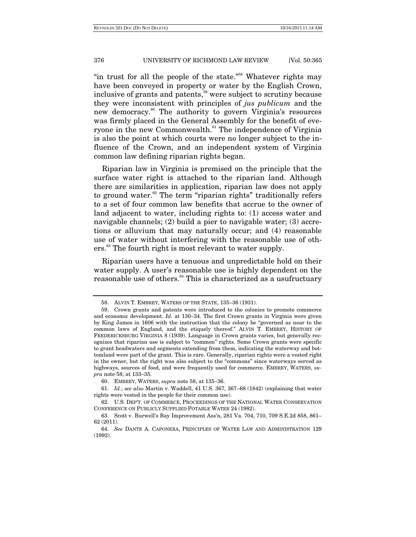"in trust for all the people of the state."<sup>58</sup> Whatever rights may have been conveyed in property or water by the English Crown, inclusive of grants and patents,<sup>59</sup> were subject to scrutiny because they were inconsistent with principles of *jus publicum* and the new democracy.<sup>60</sup> The authority to govern Virginia's resources was firmly placed in the General Assembly for the benefit of everyone in the new Commonwealth. $61$ <sup>61</sup> The independence of Virginia is also the point at which courts were no longer subject to the influence of the Crown, and an independent system of Virginia common law defining riparian rights began.

Riparian law in Virginia is premised on the principle that the surface water right is attached to the riparian land. Although there are similarities in application, riparian law does not apply to ground water.<sup>62</sup> The term "riparian rights" traditionally refers to a set of four common law benefits that accrue to the owner of land adjacent to water, including rights to: (1) access water and navigable channels; (2) build a pier to navigable water; (3) accretions or alluvium that may naturally occur; and (4) reasonable use of water without interfering with the reasonable use of others.<sup>63</sup> The fourth right is most relevant to water supply.

Riparian users have a tenuous and unpredictable hold on their water supply. A user's reasonable use is highly dependent on the reasonable use of others.<sup>64</sup> This is characterized as a usufructuary

 <sup>58.</sup> ALVIN T. EMBREY, WATERS OF THE STATE, 135–36 (1931).

 <sup>59.</sup> Crown grants and patents were introduced to the colonies to promote commerce and economic development. *Id.* at 130–34. The first Crown grants in Virginia were given by King James in 1606 with the instruction that the colony be "governed as near to the common laws of England, and the etiquely thereof." ALVIN T. EMBREY, HISTORY OF FREDERICKSBURG VIRGINIA 8 (1939). Language in Crown grants varies, but generally recognizes that riparian use is subject to "common" rights. Some Crown grants were specific to grant headwaters and segments extending from them, indicating the waterway and bottomland were part of the grant. This is rare. Generally, riparian rights were a vested right in the owner, but the right was also subject to the "commons" since waterways served as highways, sources of food, and were frequently used for commerce. EMBREY, WATERS, *supra* note 58, at 133–35.

 <sup>60.</sup> EMBREY, WATERS, *supra* note 58, at 135–36.

 <sup>61.</sup> *Id.*; *see also* Martin v. Waddell, 41 U.S. 367, 367–68 (1842) (explaining that water rights were vested in the people for their common use).

 <sup>62.</sup> U.S. DEP'T. OF COMMERCE, PROCEEDINGS OF THE NATIONAL WATER CONSERVATION CONFERENCE ON PUBLICLY SUPPLIED POTABLE WATER 24 (1982).

 <sup>63.</sup> Scott v. Burwell's Bay Improvement Ass'n, 281 Va. 704, 710, 709 S.E.2d 858, 861– 62 (2011).

 <sup>64.</sup> *See* DANTE A. CAPONERA, PRINCIPLES OF WATER LAW AND ADMINISTRATION 129 (1992).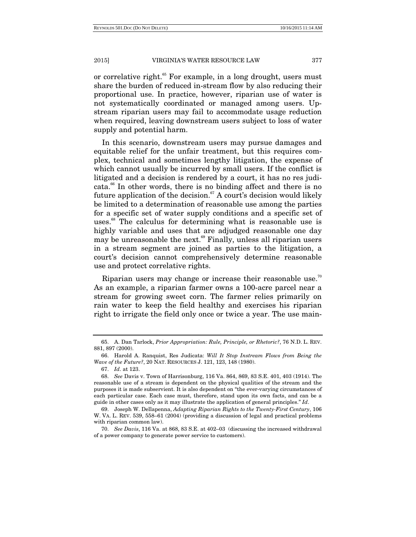or correlative right.<sup>65</sup> For example, in a long drought, users must share the burden of reduced in-stream flow by also reducing their proportional use. In practice, however, riparian use of water is not systematically coordinated or managed among users. Upstream riparian users may fail to accommodate usage reduction when required, leaving downstream users subject to loss of water supply and potential harm.

In this scenario, downstream users may pursue damages and equitable relief for the unfair treatment, but this requires complex, technical and sometimes lengthy litigation, the expense of which cannot usually be incurred by small users. If the conflict is litigated and a decision is rendered by a court, it has no res judicata.66 In other words, there is no binding affect and there is no future application of the decision. $67$  A court's decision would likely be limited to a determination of reasonable use among the parties for a specific set of water supply conditions and a specific set of uses.<sup>68</sup> The calculus for determining what is reasonable use is highly variable and uses that are adjudged reasonable one day may be unreasonable the next.<sup>69</sup> Finally, unless all riparian users in a stream segment are joined as parties to the litigation, a court's decision cannot comprehensively determine reasonable use and protect correlative rights.

Riparian users may change or increase their reasonable use.<sup>70</sup> As an example, a riparian farmer owns a 100-acre parcel near a stream for growing sweet corn. The farmer relies primarily on rain water to keep the field healthy and exercises his riparian right to irrigate the field only once or twice a year. The use main-

 <sup>65.</sup> A. Dan Tarlock, *Prior Appropriation: Rule, Principle, or Rhetoric?*, 76 N.D. L. REV. 881, 897 (2000).

 <sup>66.</sup> Harold A. Ranquist, Res Judicata: *Will It Stop Instream Flows from Being the Wave of the Future?*, 20 NAT. RESOURCES J. 121, 123, 148 (1980).

 <sup>67.</sup> *Id*. at 123.

 <sup>68.</sup> *See* Davis v. Town of Harrisonburg, 116 Va. 864, 869, 83 S.E. 401, 403 (1914). The reasonable use of a stream is dependent on the physical qualities of the stream and the purposes it is made subservient. It is also dependent on "the ever-varying circumstances of each particular case. Each case must, therefore, stand upon its own facts, and can be a guide in other cases only as it may illustrate the application of general principles." *Id*.

 <sup>69.</sup> Joseph W. Dellapenna, *Adapting Riparian Rights to the Twenty-First Century*, 106 W. VA. L. REV. 539, 558–61 (2004) (providing a discussion of legal and practical problems with riparian common law).

 <sup>70.</sup> *See Davis*, 116 Va. at 868, 83 S.E. at 402–03 (discussing the increased withdrawal of a power company to generate power service to customers).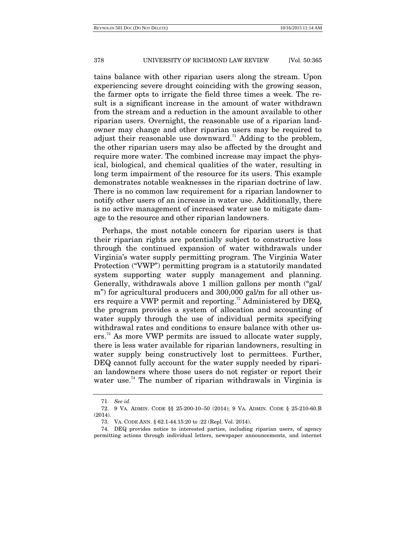tains balance with other riparian users along the stream. Upon experiencing severe drought coinciding with the growing season, the farmer opts to irrigate the field three times a week. The result is a significant increase in the amount of water withdrawn from the stream and a reduction in the amount available to other riparian users. Overnight, the reasonable use of a riparian landowner may change and other riparian users may be required to adjust their reasonable use downward.<sup>71</sup> Adding to the problem, the other riparian users may also be affected by the drought and require more water. The combined increase may impact the physical, biological, and chemical qualities of the water, resulting in long term impairment of the resource for its users. This example demonstrates notable weaknesses in the riparian doctrine of law. There is no common law requirement for a riparian landowner to notify other users of an increase in water use. Additionally, there is no active management of increased water use to mitigate damage to the resource and other riparian landowners.

Perhaps, the most notable concern for riparian users is that their riparian rights are potentially subject to constructive loss through the continued expansion of water withdrawals under Virginia's water supply permitting program. The Virginia Water Protection ("VWP") permitting program is a statutorily mandated system supporting water supply management and planning. Generally, withdrawals above 1 million gallons per month ("gal/ m") for agricultural producers and 300,000 gal/m for all other users require a VWP permit and reporting.<sup>72</sup> Administered by DEQ, the program provides a system of allocation and accounting of water supply through the use of individual permits specifying withdrawal rates and conditions to ensure balance with other users.<sup>73</sup> As more VWP permits are issued to allocate water supply, there is less water available for riparian landowners, resulting in water supply being constructively lost to permittees. Further, DEQ cannot fully account for the water supply needed by riparian landowners where those users do not register or report their water use.<sup>74</sup> The number of riparian withdrawals in Virginia is

 <sup>71.</sup> *See id*.

 <sup>72. 9</sup> VA. ADMIN. CODE §§ 25-200-10–50 (2014); 9 VA. ADMIN. CODE § 25-210-60.B (2014).

 <sup>73.</sup> VA. CODE ANN. § 62.1-44.15:20 to :22 (Repl. Vol. 2014).

 <sup>74.</sup> DEQ provides notice to interested parties, including riparian users, of agency permitting actions through individual letters, newspaper announcements, and internet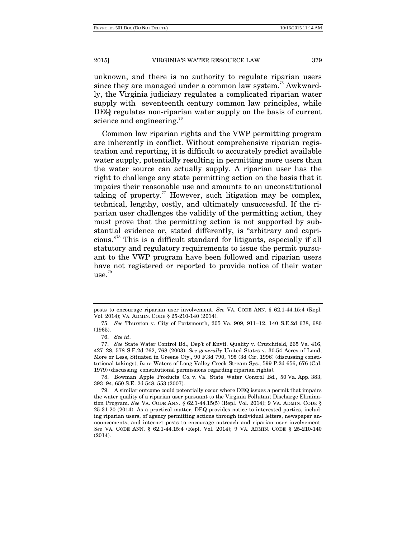unknown, and there is no authority to regulate riparian users since they are managed under a common law system.<sup>75</sup> Awkwardly, the Virginia judiciary regulates a complicated riparian water supply with seventeenth century common law principles, while DEQ regulates non-riparian water supply on the basis of current science and engineering.<sup>76</sup>

Common law riparian rights and the VWP permitting program are inherently in conflict. Without comprehensive riparian registration and reporting, it is difficult to accurately predict available water supply, potentially resulting in permitting more users than the water source can actually supply. A riparian user has the right to challenge any state permitting action on the basis that it impairs their reasonable use and amounts to an unconstitutional taking of property.<sup>77</sup> However, such litigation may be complex, technical, lengthy, costly, and ultimately unsuccessful. If the riparian user challenges the validity of the permitting action, they must prove that the permitting action is not supported by substantial evidence or, stated differently, is "arbitrary and capricious."78 This is a difficult standard for litigants, especially if all statutory and regulatory requirements to issue the permit pursuant to the VWP program have been followed and riparian users have not registered or reported to provide notice of their water use.79

 78. Bowman Apple Products Co. v. Va. State Water Control Bd., 50 Va. App. 383, 393–94, 650 S.E. 2d 548, 553 (2007).

posts to encourage riparian user involvement. *See* VA. CODE ANN. § 62.1-44.15:4 (Repl. Vol. 2014); VA. ADMIN. CODE § 25-210-140 (2014).

 <sup>75.</sup> *See* Thurston v. City of Portsmouth, 205 Va. 909, 911–12, 140 S.E.2d 678, 680 (1965).

 <sup>76.</sup> *See id*.

 <sup>77.</sup> *See* State Water Control Bd., Dep't of Envtl. Quality v. Crutchfield, 265 Va. 416, 427–28, 578 S.E.2d 762, 768 (2003). *See generally* United States v. 30.54 Acres of Land, More or Less, Situated in Greene Cty., 90 F.3d 790, 795 (3d Cir. 1996) (discussing constitutional takings); *In re* Waters of Long Valley Creek Stream Sys., 599 P.2d 656, 676 (Cal. 1979) (discussing constitutional permissions regarding riparian rights).

 <sup>79.</sup> A similar outcome could potentially occur where DEQ issues a permit that impairs the water quality of a riparian user pursuant to the Virginia Pollutant Discharge Elimination Program. *See* VA. CODE ANN. § 62.1-44.15(5) (Repl. Vol. 2014); 9 VA. ADMIN. CODE § 25-31-20 (2014). As a practical matter, DEQ provides notice to interested parties, including riparian users, of agency permitting actions through individual letters, newspaper announcements, and internet posts to encourage outreach and riparian user involvement. *See* VA. CODE ANN. § 62.1-44.15:4 (Repl. Vol. 2014); 9 VA. ADMIN. CODE § 25-210-140  $(2014)$ .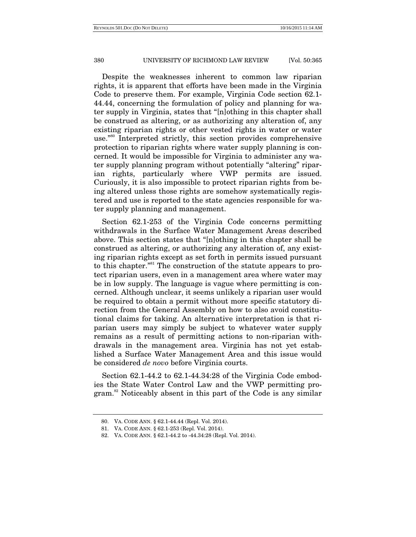Despite the weaknesses inherent to common law riparian rights, it is apparent that efforts have been made in the Virginia Code to preserve them. For example, Virginia Code section 62.1- 44.44, concerning the formulation of policy and planning for water supply in Virginia, states that "[n]othing in this chapter shall be construed as altering, or as authorizing any alteration of, any existing riparian rights or other vested rights in water or water use."80 Interpreted strictly, this section provides comprehensive protection to riparian rights where water supply planning is concerned. It would be impossible for Virginia to administer any water supply planning program without potentially "altering" riparian rights, particularly where VWP permits are issued. Curiously, it is also impossible to protect riparian rights from being altered unless those rights are somehow systematically registered and use is reported to the state agencies responsible for water supply planning and management.

Section 62.1-253 of the Virginia Code concerns permitting withdrawals in the Surface Water Management Areas described above. This section states that "[n]othing in this chapter shall be construed as altering, or authorizing any alteration of, any existing riparian rights except as set forth in permits issued pursuant to this chapter."81 The construction of the statute appears to protect riparian users, even in a management area where water may be in low supply. The language is vague where permitting is concerned. Although unclear, it seems unlikely a riparian user would be required to obtain a permit without more specific statutory direction from the General Assembly on how to also avoid constitutional claims for taking. An alternative interpretation is that riparian users may simply be subject to whatever water supply remains as a result of permitting actions to non-riparian withdrawals in the management area. Virginia has not yet established a Surface Water Management Area and this issue would be considered *de novo* before Virginia courts.

Section 62.1-44.2 to 62.1-44.34:28 of the Virginia Code embodies the State Water Control Law and the VWP permitting program.<sup>82</sup> Noticeably absent in this part of the Code is any similar

 <sup>80.</sup> VA. CODE ANN. § 62.1-44.44 (Repl. Vol. 2014).

 <sup>81.</sup> VA. CODE ANN. § 62.1-253 (Repl. Vol. 2014).

 <sup>82.</sup> VA. CODE ANN. § 62.1-44.2 to -44.34:28 (Repl. Vol. 2014).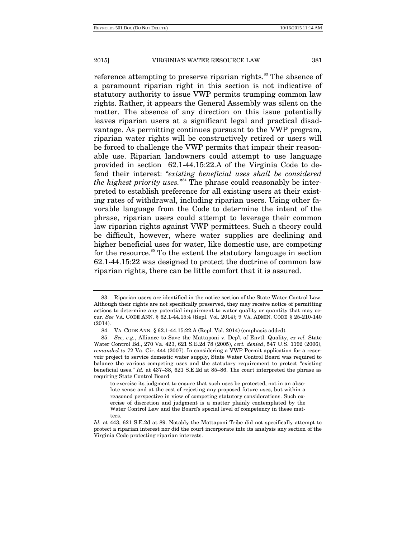reference attempting to preserve riparian rights.<sup>83</sup> The absence of a paramount riparian right in this section is not indicative of statutory authority to issue VWP permits trumping common law rights. Rather, it appears the General Assembly was silent on the matter. The absence of any direction on this issue potentially leaves riparian users at a significant legal and practical disadvantage. As permitting continues pursuant to the VWP program, riparian water rights will be constructively retired or users will be forced to challenge the VWP permits that impair their reasonable use. Riparian landowners could attempt to use language provided in section 62.1-44.15:22.A of the Virginia Code to defend their interest: "*existing beneficial uses shall be considered the highest priority uses.*" 84 The phrase could reasonably be interpreted to establish preference for all existing users at their existing rates of withdrawal, including riparian users. Using other favorable language from the Code to determine the intent of the phrase, riparian users could attempt to leverage their common law riparian rights against VWP permittees. Such a theory could be difficult, however, where water supplies are declining and higher beneficial uses for water, like domestic use, are competing for the resource.<sup>85</sup> To the extent the statutory language in section 62.1-44.15:22 was designed to protect the doctrine of common law riparian rights, there can be little comfort that it is assured.

 <sup>83.</sup> Riparian users are identified in the notice section of the State Water Control Law. Although their rights are not specifically preserved, they may receive notice of permitting actions to determine any potential impairment to water quality or quantity that may occur. *See* VA. CODE ANN. § 62.1-44.15:4 (Repl. Vol. 2014); 9 VA. ADMIN. CODE § 25-210-140 (2014).

 <sup>84.</sup> VA. CODE ANN. § 62.1-44.15:22.A (Repl. Vol. 2014) (emphasis added).

 <sup>85.</sup> *See, e.g.*, Alliance to Save the Mattaponi v. Dep't of Envtl. Quality, *ex rel.* State Water Control Bd., 270 Va. 423, 621 S.E.2d 78 (2005), *cert. denied*, 547 U.S. 1192 (2006), *remanded to* 72 Va. Cir. 444 (2007). In considering a VWP Permit application for a reservoir project to service domestic water supply, State Water Control Board was required to balance the various competing uses and the statutory requirement to protect "existing beneficial uses." *Id.* at 437–38, 621 S.E.2d at 85–86. The court interpreted the phrase as requiring State Control Board

to exercise its judgment to ensure that such uses be protected, not in an absolute sense and at the cost of rejecting any proposed future uses, but within a reasoned perspective in view of competing statutory considerations. Such exercise of discretion and judgment is a matter plainly contemplated by the Water Control Law and the Board's special level of competency in these matters.

*Id.* at 443, 621 S.E.2d at 89. Notably the Mattaponi Tribe did not specifically attempt to protect a riparian interest nor did the court incorporate into its analysis any section of the Virginia Code protecting riparian interests.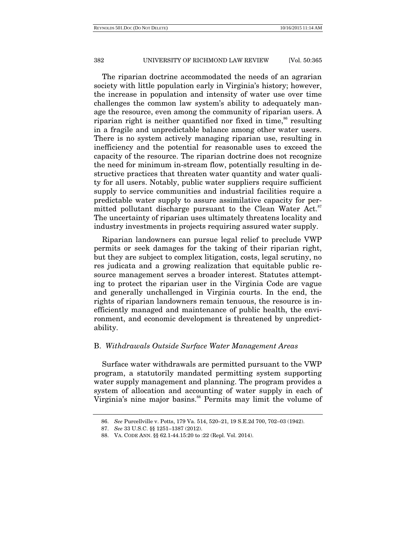The riparian doctrine accommodated the needs of an agrarian society with little population early in Virginia's history; however, the increase in population and intensity of water use over time challenges the common law system's ability to adequately manage the resource, even among the community of riparian users. A riparian right is neither quantified nor fixed in time,<sup>86</sup> resulting in a fragile and unpredictable balance among other water users. There is no system actively managing riparian use, resulting in inefficiency and the potential for reasonable uses to exceed the capacity of the resource. The riparian doctrine does not recognize the need for minimum in-stream flow, potentially resulting in destructive practices that threaten water quantity and water quality for all users. Notably, public water suppliers require sufficient supply to service communities and industrial facilities require a predictable water supply to assure assimilative capacity for permitted pollutant discharge pursuant to the Clean Water Act.<sup>87</sup> The uncertainty of riparian uses ultimately threatens locality and industry investments in projects requiring assured water supply.

Riparian landowners can pursue legal relief to preclude VWP permits or seek damages for the taking of their riparian right, but they are subject to complex litigation, costs, legal scrutiny, no res judicata and a growing realization that equitable public resource management serves a broader interest. Statutes attempting to protect the riparian user in the Virginia Code are vague and generally unchallenged in Virginia courts. In the end, the rights of riparian landowners remain tenuous, the resource is inefficiently managed and maintenance of public health, the environment, and economic development is threatened by unpredictability.

## B. *Withdrawals Outside Surface Water Management Areas*

Surface water withdrawals are permitted pursuant to the VWP program, a statutorily mandated permitting system supporting water supply management and planning. The program provides a system of allocation and accounting of water supply in each of Virginia's nine major basins.<sup>88</sup> Permits may limit the volume of

 <sup>86.</sup> *See* Purcellville v. Potts, 179 Va. 514, 520–21, 19 S.E.2d 700, 702–03 (1942).

 <sup>87.</sup> *See* 33 U.S.C. §§ 1251–1387 (2012).

 <sup>88.</sup> VA. CODE ANN. §§ 62.1-44.15:20 to :22 (Repl. Vol. 2014).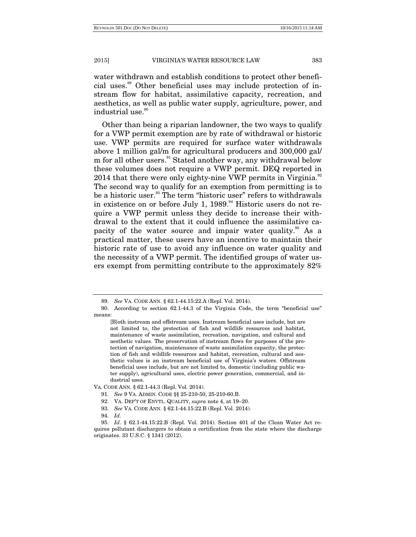water withdrawn and establish conditions to protect other beneficial uses.89 Other beneficial uses may include protection of instream flow for habitat, assimilative capacity, recreation, and aesthetics, as well as public water supply, agriculture, power, and industrial use.<sup>90</sup>

Other than being a riparian landowner, the two ways to qualify for a VWP permit exemption are by rate of withdrawal or historic use. VWP permits are required for surface water withdrawals above 1 million gal/m for agricultural producers and 300,000 gal/ m for all other users.<sup>91</sup> Stated another way, any withdrawal below these volumes does not require a VWP permit. DEQ reported in 2014 that there were only eighty-nine VWP permits in Virginia. $\frac{92}{2}$ The second way to qualify for an exemption from permitting is to be a historic user.<sup>93</sup> The term "historic user" refers to withdrawals in existence on or before July 1,  $1989.^{94}$  Historic users do not require a VWP permit unless they decide to increase their withdrawal to the extent that it could influence the assimilative capacity of the water source and impair water quality.<sup>95</sup> As a practical matter, these users have an incentive to maintain their historic rate of use to avoid any influence on water quality and the necessity of a VWP permit. The identified groups of water users exempt from permitting contribute to the approximately 82%

VA. CODE ANN. § 62.1-44.3 (Repl. Vol. 2014).

- 91. *See* 9 VA. ADMIN. CODE §§ 25-210-50, 25-210-60.B.
- 92. VA. DEP'T OF ENVTL. QUALITY, *supra* note 4, at 19–20.
- 93. *See* VA. CODE ANN. § 62.1-44.15:22.B (Repl. Vol. 2014).
- 94. *Id*.

 <sup>89.</sup> *See* VA. CODE ANN. § 62.1-44.15:22.A (Repl. Vol. 2014).

 <sup>90.</sup> According to section 62.1-44.3 of the Virginia Code, the term "beneficial use" means:

<sup>[</sup>B]oth instream and offstream uses. Instream beneficial uses include, but are not limited to, the protection of fish and wildlife resources and habitat, maintenance of waste assimilation, recreation, navigation, and cultural and aesthetic values. The preservation of instream flows for purposes of the protection of navigation, maintenance of waste assimilation capacity, the protection of fish and wildlife resources and habitat, recreation, cultural and aesthetic values is an instream beneficial use of Virginia's waters. Offstream beneficial uses include, but are not limited to, domestic (including public water supply), agricultural uses, electric power generation, commercial, and industrial uses.

 <sup>95.</sup> *Id*. § 62.1-44.15:22.B (Repl. Vol. 2014). Section 401 of the Clean Water Act requires pollutant dischargers to obtain a certification from the state where the discharge originates. 33 U.S.C. § 1341 (2012).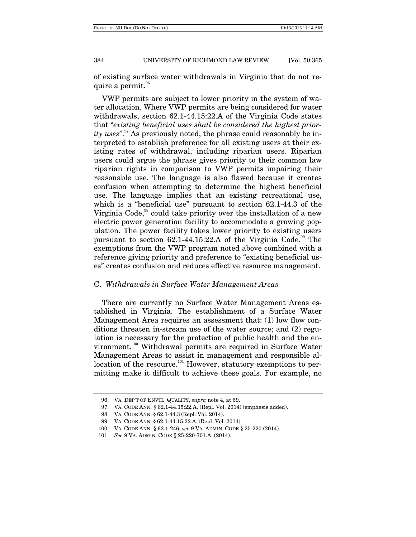of existing surface water withdrawals in Virginia that do not require a permit.<sup>96</sup>

VWP permits are subject to lower priority in the system of water allocation. Where VWP permits are being considered for water withdrawals, section 62.1-44.15:22.A of the Virginia Code states that "*existing beneficial uses shall be considered the highest priority uses*".<sup>97</sup> As previously noted, the phrase could reasonably be interpreted to establish preference for all existing users at their existing rates of withdrawal, including riparian users. Riparian users could argue the phrase gives priority to their common law riparian rights in comparison to VWP permits impairing their reasonable use. The language is also flawed because it creates confusion when attempting to determine the highest beneficial use. The language implies that an existing recreational use, which is a "beneficial use" pursuant to section 62.1-44.3 of the Virginia Code,<sup>98</sup> could take priority over the installation of a new electric power generation facility to accommodate a growing population. The power facility takes lower priority to existing users pursuant to section  $62.1$ -44.15:22.A of the Virginia Code.<sup>99</sup> The exemptions from the VWP program noted above combined with a reference giving priority and preference to "existing beneficial uses" creates confusion and reduces effective resource management.

#### C. *Withdrawals in Surface Water Management Areas*

There are currently no Surface Water Management Areas established in Virginia. The establishment of a Surface Water Management Area requires an assessment that: (1) low flow conditions threaten in-stream use of the water source; and (2) regulation is necessary for the protection of public health and the environment.<sup>100</sup> Withdrawal permits are required in Surface Water Management Areas to assist in management and responsible allocation of the resource.<sup>101</sup> However, statutory exemptions to permitting make it difficult to achieve these goals. For example, no

 <sup>96.</sup> VA. DEP'T OF ENVTL. QUALITY, *supra* note 4, at 59.

 <sup>97.</sup> VA. CODE ANN. § 62.1-44.15:22.A. (Repl. Vol. 2014) (emphasis added).

 <sup>98.</sup> VA. CODE ANN. § 62.1-44.3 (Repl. Vol. 2014).

 <sup>99.</sup> VA. CODE ANN. § 62.1-44.15:22.A. (Repl. Vol. 2014).

 <sup>100.</sup> VA. CODE ANN. § 62.1-246; *see* 9 VA. ADMIN. CODE § 25-220 (2014).

 <sup>101.</sup> *See* 9 VA. ADMIN. CODE § 25-220-701.A. (2014).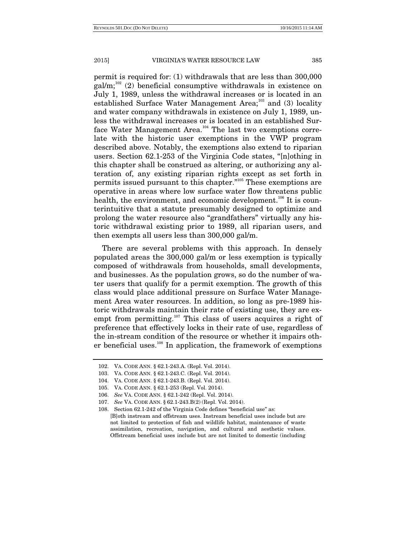permit is required for: (1) withdrawals that are less than 300,000  $\text{gal/m}$ ;<sup>102</sup> (2) beneficial consumptive withdrawals in existence on July 1, 1989, unless the withdrawal increases or is located in an established Surface Water Management Area; $^{103}$  and (3) locality and water company withdrawals in existence on July 1, 1989, unless the withdrawal increases or is located in an established Surface Water Management Area.<sup>104</sup> The last two exemptions correlate with the historic user exemptions in the VWP program described above. Notably, the exemptions also extend to riparian users. Section 62.1-253 of the Virginia Code states, "[n]othing in this chapter shall be construed as altering, or authorizing any alteration of, any existing riparian rights except as set forth in permits issued pursuant to this chapter."105 These exemptions are operative in areas where low surface water flow threatens public health, the environment, and economic development.<sup>106</sup> It is counterintuitive that a statute presumably designed to optimize and prolong the water resource also "grandfathers" virtually any historic withdrawal existing prior to 1989, all riparian users, and then exempts all users less than 300,000 gal/m.

There are several problems with this approach. In densely populated areas the 300,000 gal/m or less exemption is typically composed of withdrawals from households, small developments, and businesses. As the population grows, so do the number of water users that qualify for a permit exemption. The growth of this class would place additional pressure on Surface Water Management Area water resources. In addition, so long as pre-1989 historic withdrawals maintain their rate of existing use, they are exempt from permitting.<sup>107</sup> This class of users acquires a right of preference that effectively locks in their rate of use, regardless of the in-stream condition of the resource or whether it impairs other beneficial uses.108 In application, the framework of exemptions

 <sup>102.</sup> VA. CODE ANN. § 62.1-243.A. (Repl. Vol. 2014).

 <sup>103.</sup> VA. CODE ANN. § 62.1-243.C. (Repl. Vol. 2014).

 <sup>104.</sup> VA. CODE ANN. § 62.1-243.B. (Repl. Vol. 2014).

 <sup>105.</sup> VA. CODE ANN. § 62.1-253 (Repl. Vol. 2014).

 <sup>106.</sup> *See* VA. CODE ANN. § 62.1-242 (Repl. Vol. 2014).

 <sup>107.</sup> *See* VA. CODE ANN. § 62.1-243.B(2) (Repl. Vol. 2014).

 <sup>108.</sup> Section 62.1-242 of the Virginia Code defines "beneficial use" as: [B]oth instream and offstream uses. Instream beneficial uses include but are not limited to protection of fish and wildlife habitat, maintenance of waste assimilation, recreation, navigation, and cultural and aesthetic values. Offstream beneficial uses include but are not limited to domestic (including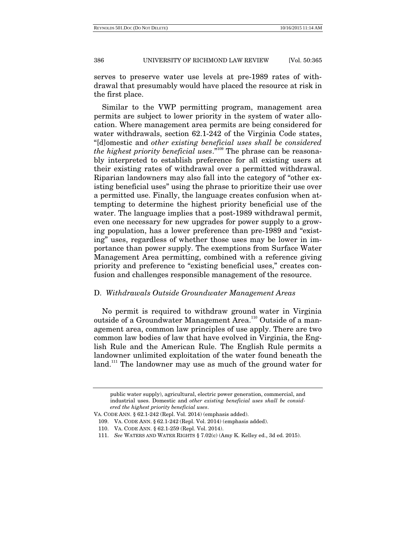serves to preserve water use levels at pre-1989 rates of withdrawal that presumably would have placed the resource at risk in the first place.

Similar to the VWP permitting program, management area permits are subject to lower priority in the system of water allocation. Where management area permits are being considered for water withdrawals, section 62.1-242 of the Virginia Code states, "[d]omestic and *other existing beneficial uses shall be considered the highest priority beneficial uses*."109 The phrase can be reasonably interpreted to establish preference for all existing users at their existing rates of withdrawal over a permitted withdrawal. Riparian landowners may also fall into the category of "other existing beneficial uses" using the phrase to prioritize their use over a permitted use. Finally, the language creates confusion when attempting to determine the highest priority beneficial use of the water. The language implies that a post-1989 withdrawal permit, even one necessary for new upgrades for power supply to a growing population, has a lower preference than pre-1989 and "existing" uses, regardless of whether those uses may be lower in importance than power supply. The exemptions from Surface Water Management Area permitting, combined with a reference giving priority and preference to "existing beneficial uses," creates confusion and challenges responsible management of the resource.

#### D. *Withdrawals Outside Groundwater Management Areas*

No permit is required to withdraw ground water in Virginia outside of a Groundwater Management Area.<sup>110</sup> Outside of a management area, common law principles of use apply. There are two common law bodies of law that have evolved in Virginia, the English Rule and the American Rule. The English Rule permits a landowner unlimited exploitation of the water found beneath the land.<sup>111</sup> The landowner may use as much of the ground water for

public water supply), agricultural, electric power generation, commercial, and industrial uses. Domestic and *other existing beneficial uses shall be considered the highest priority beneficial uses*.

VA. CODE ANN. § 62.1-242 (Repl. Vol. 2014) (emphasis added).

 <sup>109.</sup> VA. CODE ANN. § 62.1-242 (Repl. Vol. 2014) (emphasis added).

 <sup>110.</sup> VA. CODE ANN. § 62.1-259 (Repl. Vol. 2014).

 <sup>111.</sup> *See* WATERS AND WATER RIGHTS § 7.02(c) (Amy K. Kelley ed., 3d ed. 2015).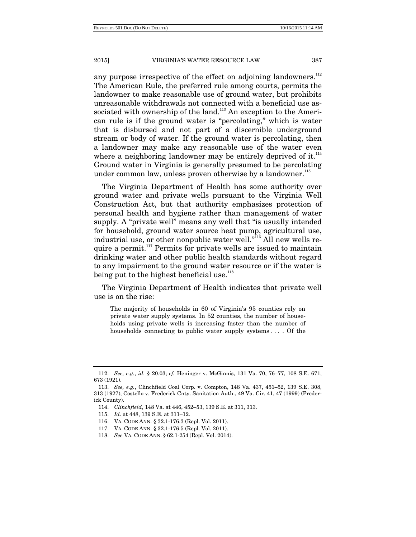any purpose irrespective of the effect on adjoining landowners.<sup>112</sup> The American Rule, the preferred rule among courts, permits the landowner to make reasonable use of ground water, but prohibits unreasonable withdrawals not connected with a beneficial use associated with ownership of the land.<sup>113</sup> An exception to the American rule is if the ground water is "percolating," which is water that is disbursed and not part of a discernible underground stream or body of water. If the ground water is percolating, then a landowner may make any reasonable use of the water even where a neighboring landowner may be entirely deprived of it. $^{114}$ Ground water in Virginia is generally presumed to be percolating under common law, unless proven otherwise by a landowner.<sup>115</sup>

The Virginia Department of Health has some authority over ground water and private wells pursuant to the Virginia Well Construction Act, but that authority emphasizes protection of personal health and hygiene rather than management of water supply. A "private well" means any well that "is usually intended for household, ground water source heat pump, agricultural use, industrial use, or other nonpublic water well."<sup>116</sup> All new wells require a permit.<sup>117</sup> Permits for private wells are issued to maintain drinking water and other public health standards without regard to any impairment to the ground water resource or if the water is being put to the highest beneficial use. $118$ 

The Virginia Department of Health indicates that private well use is on the rise:

The majority of households in 60 of Virginia's 95 counties rely on private water supply systems. In 52 counties, the number of households using private wells is increasing faster than the number of households connecting to public water supply systems . . . . Of the

 <sup>112.</sup> *See, e.g.*, *id.* § 20.03; *cf.* Heninger v. McGinnis, 131 Va. 70, 76–77, 108 S.E. 671, 673 (1921).

 <sup>113.</sup> *See, e.g.*, Clinchfield Coal Corp. v. Compton, 148 Va. 437, 451–52, 139 S.E. 308, 313 (1927); Costello v. Frederick Cnty. Sanitation Auth., 49 Va. Cir. 41, 47 (1999) (Frederick County).

 <sup>114.</sup> *Clinchfield*, 148 Va. at 446, 452–53, 139 S.E. at 311, 313.

 <sup>115.</sup> *Id*. at 448, 139 S.E. at 311–12.

 <sup>116.</sup> VA. CODE ANN. § 32.1-176.3 (Repl. Vol. 2011).

 <sup>117.</sup> VA. CODE ANN. § 32.1-176.5 (Repl. Vol. 2011).

 <sup>118.</sup> *See* VA. CODE ANN. § 62.1-254 (Repl. Vol. 2014).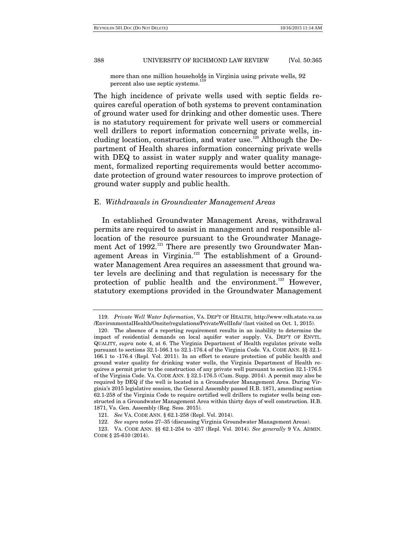more than one million households in Virginia using private wells, 92 percent also use septic systems.<sup>1</sup>

The high incidence of private wells used with septic fields requires careful operation of both systems to prevent contamination of ground water used for drinking and other domestic uses. There is no statutory requirement for private well users or commercial well drillers to report information concerning private wells, including location, construction, and water use.<sup>120</sup> Although the Department of Health shares information concerning private wells with DEQ to assist in water supply and water quality management, formalized reporting requirements would better accommodate protection of ground water resources to improve protection of ground water supply and public health.

## E. *Withdrawals in Groundwater Management Areas*

In established Groundwater Management Areas, withdrawal permits are required to assist in management and responsible allocation of the resource pursuant to the Groundwater Management Act of 1992.<sup>121</sup> There are presently two Groundwater Management Areas in Virginia.<sup>122</sup> The establishment of a Groundwater Management Area requires an assessment that ground water levels are declining and that regulation is necessary for the protection of public health and the environment.<sup>123</sup> However, statutory exemptions provided in the Groundwater Management

 <sup>119.</sup> *Private Well Water Information*, VA. DEP'T OF HEALTH, http://www.vdh.state.va.us /EnvironmentalHealth/Onsite/regulations/PrivateWellInfo/ (last visited on Oct. 1, 2015).

 <sup>120.</sup> The absence of a reporting requirement results in an inability to determine the impact of residential demands on local aquifer water supply. VA. DEP'T OF ENVTL. QUALITY, *supra* note 4, at 6. The Virginia Department of Health regulates private wells pursuant to sections 32.1-166.1 to 32.1-176.4 of the Virginia Code. VA. CODE ANN. §§ 32.1- 166.1 to -176.4 (Repl. Vol. 2011). In an effort to ensure protection of public health and ground water quality for drinking water wells, the Virginia Department of Health requires a permit prior to the construction of any private well pursuant to section 32.1-176.5 of the Virginia Code. VA. CODE ANN. § 32.1-176.5 (Cum. Supp. 2014). A permit may also be required by DEQ if the well is located in a Groundwater Management Area. During Virginia's 2015 legislative session, the General Assembly passed H.B. 1871, amending section 62.1-258 of the Virginia Code to require certified well drillers to register wells being constructed in a Groundwater Management Area within thirty days of well construction. H.B. 1871, Va. Gen. Assembly (Reg. Sess. 2015).

 <sup>121.</sup> *See* VA. CODE ANN. § 62.1-258 (Repl. Vol. 2014).

 <sup>122.</sup> *See supra* notes 27–35 (discussing Virginia Groundwater Management Areas).

 <sup>123.</sup> VA. CODE ANN. §§ 62.1-254 to -257 (Repl. Vol. 2014). *See generally* 9 VA. ADMIN. CODE § 25-610 (2014).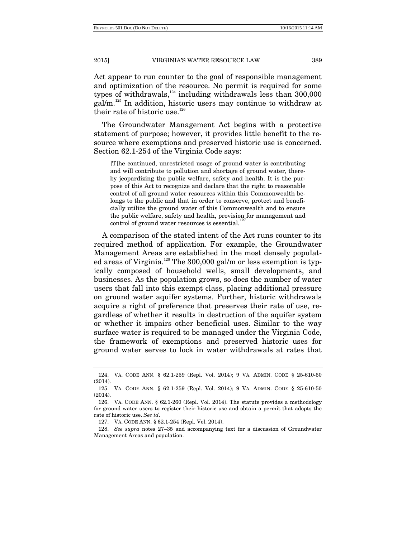Act appear to run counter to the goal of responsible management and optimization of the resource. No permit is required for some types of withdrawals, $124$  including withdrawals less than 300,000  $\text{gal/m}^{125}$  In addition, historic users may continue to withdraw at their rate of historic use.<sup>126</sup>

The Groundwater Management Act begins with a protective statement of purpose; however, it provides little benefit to the resource where exemptions and preserved historic use is concerned. Section 62.1-254 of the Virginia Code says:

[T]he continued, unrestricted usage of ground water is contributing and will contribute to pollution and shortage of ground water, thereby jeopardizing the public welfare, safety and health. It is the purpose of this Act to recognize and declare that the right to reasonable control of all ground water resources within this Commonwealth belongs to the public and that in order to conserve, protect and beneficially utilize the ground water of this Commonwealth and to ensure the public welfare, safety and health, provision for management and control of ground water resources is essential.<sup>127</sup>

A comparison of the stated intent of the Act runs counter to its required method of application. For example, the Groundwater Management Areas are established in the most densely populated areas of Virginia.<sup>128</sup> The 300,000 gal/m or less exemption is typically composed of household wells, small developments, and businesses. As the population grows, so does the number of water users that fall into this exempt class, placing additional pressure on ground water aquifer systems. Further, historic withdrawals acquire a right of preference that preserves their rate of use, regardless of whether it results in destruction of the aquifer system or whether it impairs other beneficial uses. Similar to the way surface water is required to be managed under the Virginia Code, the framework of exemptions and preserved historic uses for ground water serves to lock in water withdrawals at rates that

 <sup>124.</sup> VA. CODE ANN. § 62.1-259 (Repl. Vol. 2014); 9 VA. ADMIN. CODE § 25-610-50 (2014).

 <sup>125.</sup> VA. CODE ANN. § 62.1-259 (Repl. Vol. 2014); 9 VA. ADMIN. CODE § 25-610-50 (2014).

 <sup>126.</sup> VA. CODE ANN. § 62.1-260 (Repl. Vol. 2014). The statute provides a methodology for ground water users to register their historic use and obtain a permit that adopts the rate of historic use. *See id*.

 <sup>127.</sup> VA. CODE ANN. § 62.1-254 (Repl. Vol. 2014).

 <sup>128.</sup> *See supra* notes 27–35 and accompanying text for a discussion of Groundwater Management Areas and population.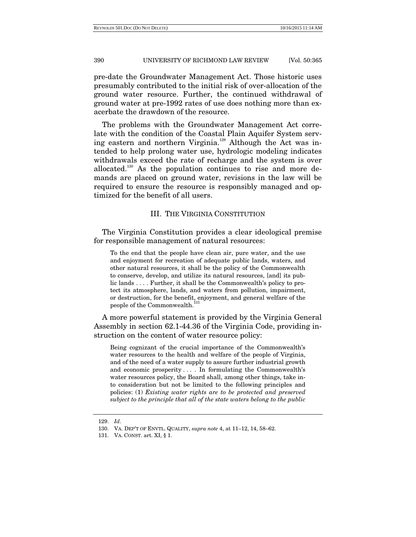pre-date the Groundwater Management Act. Those historic uses presumably contributed to the initial risk of over-allocation of the ground water resource. Further, the continued withdrawal of ground water at pre-1992 rates of use does nothing more than exacerbate the drawdown of the resource.

The problems with the Groundwater Management Act correlate with the condition of the Coastal Plain Aquifer System serving eastern and northern Virginia.<sup>129</sup> Although the Act was intended to help prolong water use, hydrologic modeling indicates withdrawals exceed the rate of recharge and the system is over allocated.130 As the population continues to rise and more demands are placed on ground water, revisions in the law will be required to ensure the resource is responsibly managed and optimized for the benefit of all users.

# III. THE VIRGINIA CONSTITUTION

The Virginia Constitution provides a clear ideological premise for responsible management of natural resources:

To the end that the people have clean air, pure water, and the use and enjoyment for recreation of adequate public lands, waters, and other natural resources, it shall be the policy of the Commonwealth to conserve, develop, and utilize its natural resources, [and] its public lands . . . . Further, it shall be the Commonwealth's policy to protect its atmosphere, lands, and waters from pollution, impairment, or destruction, for the benefit, enjoyment, and general welfare of the people of the Commonwealth.

A more powerful statement is provided by the Virginia General Assembly in section 62.1-44.36 of the Virginia Code, providing instruction on the content of water resource policy:

Being cognizant of the crucial importance of the Commonwealth's water resources to the health and welfare of the people of Virginia, and of the need of a water supply to assure further industrial growth and economic prosperity . . . . In formulating the Commonwealth's water resources policy, the Board shall, among other things, take into consideration but not be limited to the following principles and policies: (1) *Existing water rights are to be protected and preserved subject to the principle that all of the state waters belong to the public* 

 <sup>129.</sup> *Id*.

 <sup>130.</sup> VA. DEP'T OF ENVTL. QUALITY, *supra note* 4, at 11–12, 14, 58–62.

 <sup>131.</sup> VA. CONST. art. XI, § 1.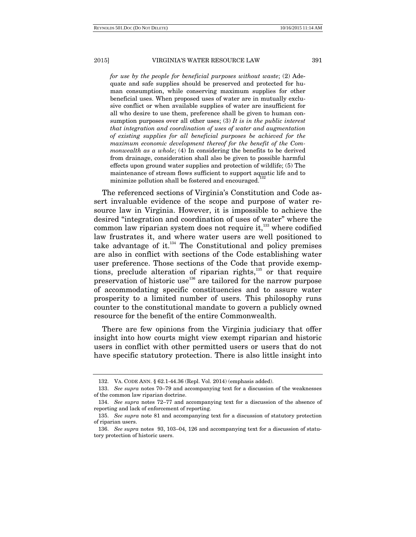*for use by the people for beneficial purposes without waste*; (2) Adequate and safe supplies should be preserved and protected for human consumption, while conserving maximum supplies for other beneficial uses. When proposed uses of water are in mutually exclusive conflict or when available supplies of water are insufficient for all who desire to use them, preference shall be given to human consumption purposes over all other uses; (3) *It is in the public interest that integration and coordination of uses of water and augmentation of existing supplies for all beneficial purposes be achieved for the maximum economic development thereof for the benefit of the Commonwealth as a whole*; (4) In considering the benefits to be derived from drainage, consideration shall also be given to possible harmful effects upon ground water supplies and protection of wildlife; (5) The maintenance of stream flows sufficient to support aquatic life and to minimize pollution shall be fostered and encouraged.<sup>1</sup>

The referenced sections of Virginia's Constitution and Code assert invaluable evidence of the scope and purpose of water resource law in Virginia. However, it is impossible to achieve the desired "integration and coordination of uses of water" where the common law riparian system does not require it, $^{133}$  where codified law frustrates it, and where water users are well positioned to take advantage of it. $134$  The Constitutional and policy premises are also in conflict with sections of the Code establishing water user preference. Those sections of the Code that provide exemptions, preclude alteration of riparian rights, $135$  or that require preservation of historic use<sup>136</sup> are tailored for the narrow purpose of accommodating specific constituencies and to assure water prosperity to a limited number of users. This philosophy runs counter to the constitutional mandate to govern a publicly owned resource for the benefit of the entire Commonwealth.

There are few opinions from the Virginia judiciary that offer insight into how courts might view exempt riparian and historic users in conflict with other permitted users or users that do not have specific statutory protection. There is also little insight into

 <sup>132.</sup> VA. CODE ANN. § 62.1-44.36 (Repl. Vol. 2014) (emphasis added).

 <sup>133.</sup> *See supra* notes 70–79 and accompanying text for a discussion of the weaknesses of the common law riparian doctrine.

 <sup>134.</sup> *See supra* notes 72–77 and accompanying text for a discussion of the absence of reporting and lack of enforcement of reporting.

 <sup>135.</sup> *See supra* note 81 and accompanying text for a discussion of statutory protection of riparian users.

 <sup>136.</sup> *See supra* notes 93, 103–04, 126 and accompanying text for a discussion of statutory protection of historic users.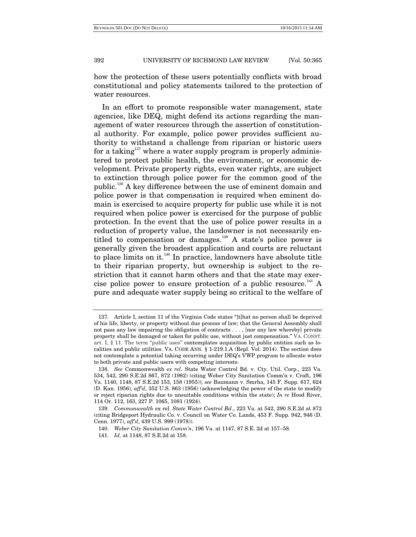how the protection of these users potentially conflicts with broad constitutional and policy statements tailored to the protection of water resources.

In an effort to promote responsible water management, state agencies, like DEQ, might defend its actions regarding the management of water resources through the assertion of constitutional authority. For example, police power provides sufficient authority to withstand a challenge from riparian or historic users for a taking<sup>137</sup> where a water supply program is properly administered to protect public health, the environment, or economic development. Private property rights, even water rights, are subject to extinction through police power for the common good of the public.138 A key difference between the use of eminent domain and police power is that compensation is required when eminent domain is exercised to acquire property for public use while it is not required when police power is exercised for the purpose of public protection. In the event that the use of police power results in a reduction of property value, the landowner is not necessarily entitled to compensation or damages.<sup>139</sup> A state's police power is generally given the broadest application and courts are reluctant to place limits on it. $140$  In practice, landowners have absolute title to their riparian property, but ownership is subject to the restriction that it cannot harm others and that the state may exercise police power to ensure protection of a public resource.<sup> $^{141}$ </sup> A pure and adequate water supply being so critical to the welfare of

 <sup>137.</sup> Article I, section 11 of the Virginia Code states "[t]hat no person shall be deprived of his life, liberty, or property without due process of law; that the General Assembly shall not pass any law impairing the obligation of contracts . . . , [nor any law whereby] private property shall be damaged or taken for public use, without just compensation." VA. CONST. art. I, § 11. The term "public uses" contemplates acquisition by public entities such as localities and public utilities. VA. CODE ANN. § 1-219.1.A (Repl. Vol. 2014). The section does not contemplate a potential taking occurring under DEQ's VWP program to allocate water to both private and public users with competing interests.

 <sup>138.</sup> *See* Commonwealth *ex rel*. State Water Control Bd. v. Cty. Util. Corp., 223 Va. 534, 542, 290 S.E.2d 867, 872 (1982) (citing Weber City Sanitation Comm'n v. Craft, 196 Va. 1140, 1148, 87 S.E.2d 153, 158 (1955)); *see* Baumann v. Smrha, 145 F. Supp. 617, 624 (D. Kan. 1956), *aff'd*, 352 U.S. 863 (1956) (acknowledging the power of the state to modify or reject riparian rights due to unsuitable conditions within the state); *In re* Hood River, 114 Or. 112, 163, 227 P. 1065, 1081 (1924).

 <sup>139.</sup> *Commonwealth* ex rel. *State Water Control Bd*., 223 Va. at 542, 290 S.E.2d at 872 (citing Bridgeport Hydraulic Co. v. Council on Water Co. Lands, 453 F. Supp. 942, 946 (D. Conn. 1977), *aff'd*, 439 U.S. 999 (1978)).

 <sup>140.</sup> *Weber City Sanitation Comm'n*, 196 Va. at 1147, 87 S.E. 2d at 157–58.

 <sup>141.</sup> *Id*. at 1148, 87 S.E.2d at 158.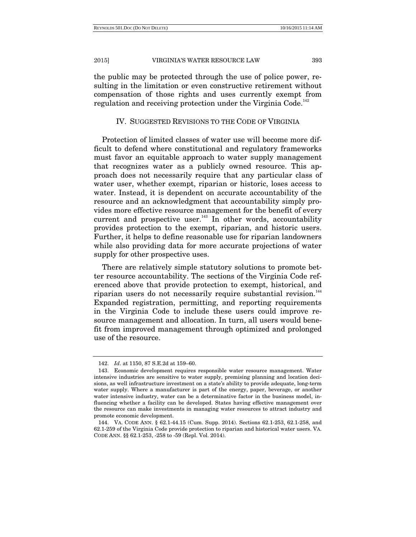the public may be protected through the use of police power, resulting in the limitation or even constructive retirement without compensation of those rights and uses currently exempt from regulation and receiving protection under the Virginia Code.<sup>142</sup>

# IV. SUGGESTED REVISIONS TO THE CODE OF VIRGINIA

Protection of limited classes of water use will become more difficult to defend where constitutional and regulatory frameworks must favor an equitable approach to water supply management that recognizes water as a publicly owned resource. This approach does not necessarily require that any particular class of water user, whether exempt, riparian or historic, loses access to water. Instead, it is dependent on accurate accountability of the resource and an acknowledgment that accountability simply provides more effective resource management for the benefit of every current and prospective user.<sup>143</sup> In other words, accountability provides protection to the exempt, riparian, and historic users. Further, it helps to define reasonable use for riparian landowners while also providing data for more accurate projections of water supply for other prospective uses.

There are relatively simple statutory solutions to promote better resource accountability. The sections of the Virginia Code referenced above that provide protection to exempt, historical, and riparian users do not necessarily require substantial revision.<sup>144</sup> Expanded registration, permitting, and reporting requirements in the Virginia Code to include these users could improve resource management and allocation. In turn, all users would benefit from improved management through optimized and prolonged use of the resource.

 <sup>142.</sup> *Id*. at 1150, 87 S.E.2d at 159–60.

 <sup>143.</sup> Economic development requires responsible water resource management. Water intensive industries are sensitive to water supply, premising planning and location decisions, as well infrastructure investment on a state's ability to provide adequate, long-term water supply. Where a manufacturer is part of the energy, paper, beverage, or another water intensive industry, water can be a determinative factor in the business model, influencing whether a facility can be developed. States having effective management over the resource can make investments in managing water resources to attract industry and promote economic development.

 <sup>144.</sup> VA. CODE ANN. § 62.1-44.15 (Cum. Supp. 2014). Sections 62.1-253, 62.1-258, and 62.1-259 of the Virginia Code provide protection to riparian and historical water users. VA. CODE ANN. §§ 62.1-253, -258 to -59 (Repl. Vol. 2014).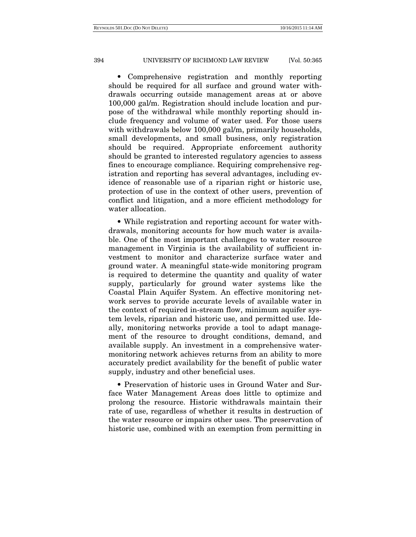• Comprehensive registration and monthly reporting should be required for all surface and ground water withdrawals occurring outside management areas at or above 100,000 gal/m. Registration should include location and purpose of the withdrawal while monthly reporting should include frequency and volume of water used. For those users with withdrawals below 100,000 gal/m, primarily households, small developments, and small business, only registration should be required. Appropriate enforcement authority should be granted to interested regulatory agencies to assess fines to encourage compliance. Requiring comprehensive registration and reporting has several advantages, including evidence of reasonable use of a riparian right or historic use, protection of use in the context of other users, prevention of conflict and litigation, and a more efficient methodology for water allocation.

• While registration and reporting account for water withdrawals, monitoring accounts for how much water is available. One of the most important challenges to water resource management in Virginia is the availability of sufficient investment to monitor and characterize surface water and ground water. A meaningful state-wide monitoring program is required to determine the quantity and quality of water supply, particularly for ground water systems like the Coastal Plain Aquifer System. An effective monitoring network serves to provide accurate levels of available water in the context of required in-stream flow, minimum aquifer system levels, riparian and historic use, and permitted use. Ideally, monitoring networks provide a tool to adapt management of the resource to drought conditions, demand, and available supply. An investment in a comprehensive watermonitoring network achieves returns from an ability to more accurately predict availability for the benefit of public water supply, industry and other beneficial uses.

• Preservation of historic uses in Ground Water and Surface Water Management Areas does little to optimize and prolong the resource. Historic withdrawals maintain their rate of use, regardless of whether it results in destruction of the water resource or impairs other uses. The preservation of historic use, combined with an exemption from permitting in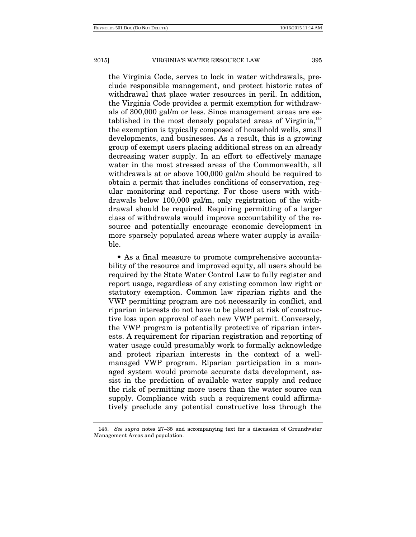the Virginia Code, serves to lock in water withdrawals, preclude responsible management, and protect historic rates of withdrawal that place water resources in peril. In addition, the Virginia Code provides a permit exemption for withdrawals of 300,000 gal/m or less. Since management areas are established in the most densely populated areas of Virginia,<sup>145</sup> the exemption is typically composed of household wells, small developments, and businesses. As a result, this is a growing group of exempt users placing additional stress on an already decreasing water supply. In an effort to effectively manage water in the most stressed areas of the Commonwealth, all withdrawals at or above 100,000 gal/m should be required to obtain a permit that includes conditions of conservation, regular monitoring and reporting. For those users with withdrawals below 100,000 gal/m, only registration of the withdrawal should be required. Requiring permitting of a larger class of withdrawals would improve accountability of the resource and potentially encourage economic development in more sparsely populated areas where water supply is available.

• As a final measure to promote comprehensive accountability of the resource and improved equity, all users should be required by the State Water Control Law to fully register and report usage, regardless of any existing common law right or statutory exemption. Common law riparian rights and the VWP permitting program are not necessarily in conflict, and riparian interests do not have to be placed at risk of constructive loss upon approval of each new VWP permit. Conversely, the VWP program is potentially protective of riparian interests. A requirement for riparian registration and reporting of water usage could presumably work to formally acknowledge and protect riparian interests in the context of a wellmanaged VWP program. Riparian participation in a managed system would promote accurate data development, assist in the prediction of available water supply and reduce the risk of permitting more users than the water source can supply. Compliance with such a requirement could affirmatively preclude any potential constructive loss through the

 <sup>145.</sup> *See supra* notes 27–35 and accompanying text for a discussion of Groundwater Management Areas and population.